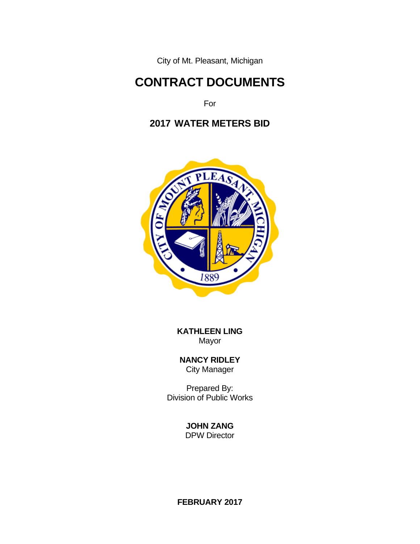City of Mt. Pleasant, Michigan

# **CONTRACT DOCUMENTS**

For

# **2017 WATER METERS BID**



 **KATHLEEN LING** Mayor

 **NANCY RIDLEY** City Manager

 Prepared By: Division of Public Works

> **JOHN ZANG** DPW Director

**FEBRUARY 2017**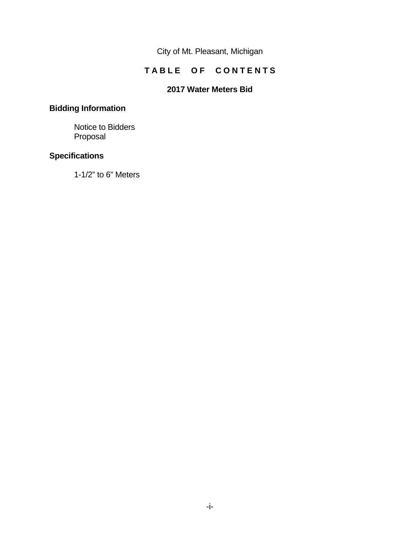City of Mt. Pleasant, Michigan

# **TABLE OF CONTENTS**

## **2017 Water Meters Bid**

# **Bidding Information**

 Notice to Bidders Proposal

## **Specifications**

1-1/2" to 6" Meters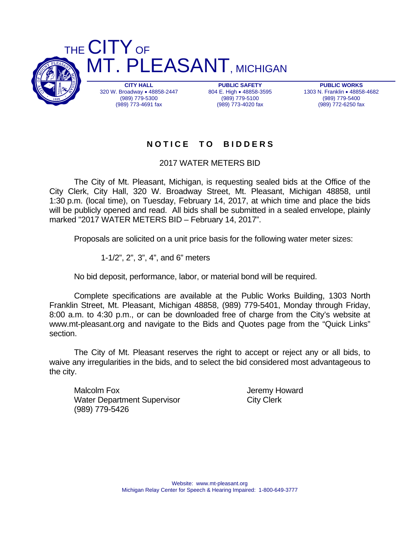

**PUBLIC WORKS**  1303 N. Franklin . 48858-4682 (989) 779-5400 (989) 772-6250 fax

# **N O T I C E T O B I D D E R S**

2017 WATER METERS BID

 The City of Mt. Pleasant, Michigan, is requesting sealed bids at the Office of the City Clerk, City Hall, 320 W. Broadway Street, Mt. Pleasant, Michigan 48858, until 1:30 p.m. (local time), on Tuesday, February 14, 2017, at which time and place the bids will be publicly opened and read. All bids shall be submitted in a sealed envelope, plainly marked "2017 WATER METERS BID – February 14, 2017".

Proposals are solicited on a unit price basis for the following water meter sizes:

1-1/2", 2", 3", 4", and 6" meters

No bid deposit, performance, labor, or material bond will be required.

 Complete specifications are available at the Public Works Building, 1303 North Franklin Street, Mt. Pleasant, Michigan 48858, (989) 779-5401, Monday through Friday, 8:00 a.m. to 4:30 p.m., or can be downloaded free of charge from the City's website at www.mt-pleasant.org and navigate to the Bids and Quotes page from the "Quick Links" section.

 The City of Mt. Pleasant reserves the right to accept or reject any or all bids, to waive any irregularities in the bids, and to select the bid considered most advantageous to the city.

Malcolm Fox **Malcolm** Fox **All Accords** For Malcolm Fox Water Department Supervisor City Clerk (989) 779-5426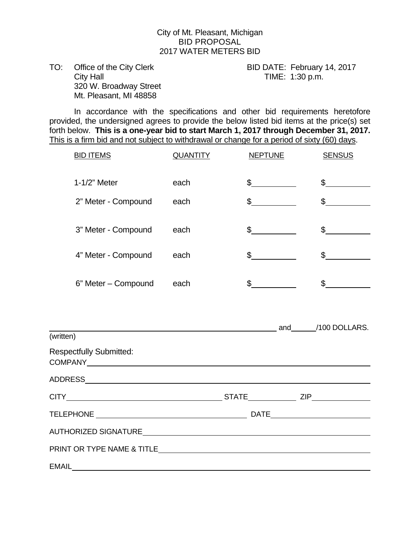#### City of Mt. Pleasant, Michigan BID PROPOSAL 2017 WATER METERS BID

TO: Office of the City Clerk BID DATE: February 14, 2017 City Hall City Hall City Hall City Hall City Hall City Hall City Hall City Hall City Hall City Hall City Hall City Hall City Hall City Hall City Hall City Hall City Hall City Hall City Hall City Hall City Hall City Hall Ci 320 W. Broadway Street Mt. Pleasant, MI 48858

 In accordance with the specifications and other bid requirements heretofore provided, the undersigned agrees to provide the below listed bid items at the price(s) set forth below. **This is a one-year bid to start March 1, 2017 through December 31, 2017.**  This is a firm bid and not subject to withdrawal or change for a period of sixty (60) days.

| <b>QUANTITY</b> | <b>NEPTUNE</b> | <b>SENSUS</b>                                                        |
|-----------------|----------------|----------------------------------------------------------------------|
| each            | $\sim$         | $\frac{1}{2}$                                                        |
| each            | $\mathbb S$    | $\mathbb{S}$                                                         |
| each            | \$             | $\mathbb S$                                                          |
| each            | $\mathbb S$    | $\sim$                                                               |
| each            | $\mathbb S$    | $\sim$                                                               |
|                 |                |                                                                      |
|                 |                |                                                                      |
|                 |                |                                                                      |
|                 |                |                                                                      |
|                 |                |                                                                      |
|                 |                |                                                                      |
|                 |                |                                                                      |
|                 |                |                                                                      |
|                 |                |                                                                      |
|                 |                |                                                                      |
|                 |                | and 100 DOLLARS.<br>AUTHORIZED SIGNATURE <b>AUTHORIZED</b> SIGNATURE |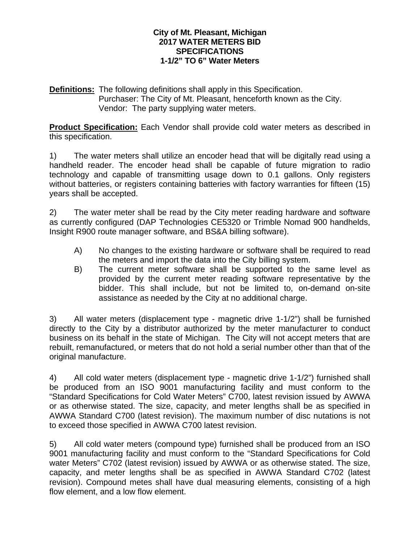#### **City of Mt. Pleasant, Michigan 2017 WATER METERS BID SPECIFICATIONS 1-1/2" TO 6" Water Meters**

**Definitions:** The following definitions shall apply in this Specification. Purchaser: The City of Mt. Pleasant, henceforth known as the City. Vendor: The party supplying water meters.

**Product Specification:** Each Vendor shall provide cold water meters as described in this specification.

1) The water meters shall utilize an encoder head that will be digitally read using a handheld reader. The encoder head shall be capable of future migration to radio technology and capable of transmitting usage down to 0.1 gallons. Only registers without batteries, or registers containing batteries with factory warranties for fifteen (15) years shall be accepted.

2) The water meter shall be read by the City meter reading hardware and software as currently configured (DAP Technologies CE5320 or Trimble Nomad 900 handhelds, Insight R900 route manager software, and BS&A billing software).

- A) No changes to the existing hardware or software shall be required to read the meters and import the data into the City billing system.
- B) The current meter software shall be supported to the same level as provided by the current meter reading software representative by the bidder. This shall include, but not be limited to, on-demand on-site assistance as needed by the City at no additional charge.

3) All water meters (displacement type - magnetic drive 1-1/2") shall be furnished directly to the City by a distributor authorized by the meter manufacturer to conduct business on its behalf in the state of Michigan. The City will not accept meters that are rebuilt, remanufactured, or meters that do not hold a serial number other than that of the original manufacture.

4) All cold water meters (displacement type - magnetic drive 1-1/2") furnished shall be produced from an ISO 9001 manufacturing facility and must conform to the "Standard Specifications for Cold Water Meters" C700, latest revision issued by AWWA or as otherwise stated. The size, capacity, and meter lengths shall be as specified in AWWA Standard C700 (latest revision). The maximum number of disc nutations is not to exceed those specified in AWWA C700 latest revision.

5) All cold water meters (compound type) furnished shall be produced from an ISO 9001 manufacturing facility and must conform to the "Standard Specifications for Cold water Meters" C702 (latest revision) issued by AWWA or as otherwise stated. The size, capacity, and meter lengths shall be as specified in AWWA Standard C702 (latest revision). Compound metes shall have dual measuring elements, consisting of a high flow element, and a low flow element.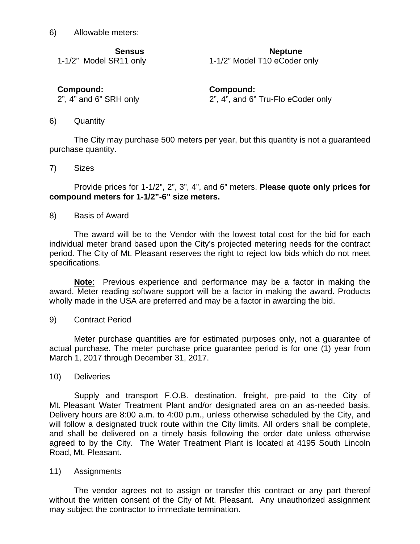6) Allowable meters:

**Sensus Neptune 1986** 

1-1/2" Model SR11 only 1-1/2" Model T10 eCoder only

**Compound: Compound:**

2", 4" and 6" SRH only 2", 4", and 6" Tru-Flo eCoder only

6) Quantity

The City may purchase 500 meters per year, but this quantity is not a guaranteed purchase quantity.

7) Sizes

Provide prices for 1-1/2", 2", 3", 4", and 6" meters. **Please quote only prices for compound meters for 1-1/2"-6" size meters.** 

#### 8) Basis of Award

The award will be to the Vendor with the lowest total cost for the bid for each individual meter brand based upon the City's projected metering needs for the contract period. The City of Mt. Pleasant reserves the right to reject low bids which do not meet specifications.

**Note**: Previous experience and performance may be a factor in making the award. Meter reading software support will be a factor in making the award. Products wholly made in the USA are preferred and may be a factor in awarding the bid.

9) Contract Period

Meter purchase quantities are for estimated purposes only, not a guarantee of actual purchase. The meter purchase price guarantee period is for one (1) year from March 1, 2017 through December 31, 2017.

#### 10) Deliveries

Supply and transport F.O.B. destination, freight, pre-paid to the City of Mt. Pleasant Water Treatment Plant and/or designated area on an as-needed basis. Delivery hours are 8:00 a.m. to 4:00 p.m., unless otherwise scheduled by the City, and will follow a designated truck route within the City limits. All orders shall be complete, and shall be delivered on a timely basis following the order date unless otherwise agreed to by the City. The Water Treatment Plant is located at 4195 South Lincoln Road, Mt. Pleasant.

#### 11) Assignments

The vendor agrees not to assign or transfer this contract or any part thereof without the written consent of the City of Mt. Pleasant. Any unauthorized assignment may subject the contractor to immediate termination.